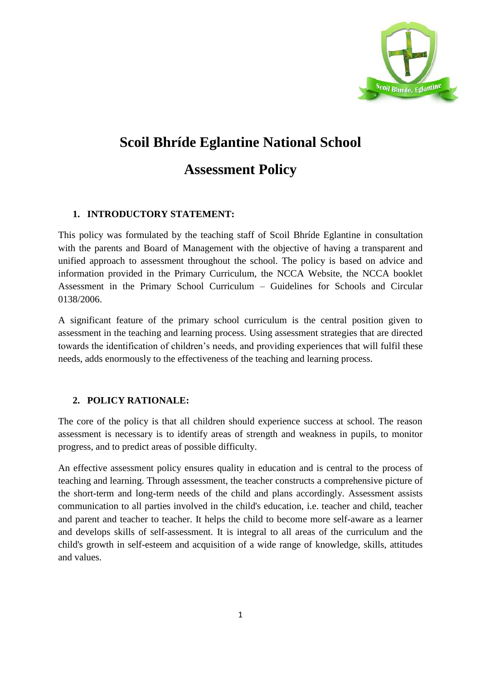

# **Scoil Bhríde Eglantine National School**

# **Assessment Policy**

# **1. INTRODUCTORY STATEMENT:**

This policy was formulated by the teaching staff of Scoil Bhríde Eglantine in consultation with the parents and Board of Management with the objective of having a transparent and unified approach to assessment throughout the school. The policy is based on advice and information provided in the Primary Curriculum, the NCCA Website, the NCCA booklet Assessment in the Primary School Curriculum – Guidelines for Schools and Circular 0138/2006.

A significant feature of the primary school curriculum is the central position given to assessment in the teaching and learning process. Using assessment strategies that are directed towards the identification of children's needs, and providing experiences that will fulfil these needs, adds enormously to the effectiveness of the teaching and learning process.

# **2. POLICY RATIONALE:**

The core of the policy is that all children should experience success at school. The reason assessment is necessary is to identify areas of strength and weakness in pupils, to monitor progress, and to predict areas of possible difficulty.

An effective assessment policy ensures quality in education and is central to the process of teaching and learning. Through assessment, the teacher constructs a comprehensive picture of the short-term and long-term needs of the child and plans accordingly. Assessment assists communication to all parties involved in the child's education, i.e. teacher and child, teacher and parent and teacher to teacher. It helps the child to become more self-aware as a learner and develops skills of self-assessment. It is integral to all areas of the curriculum and the child's growth in self-esteem and acquisition of a wide range of knowledge, skills, attitudes and values.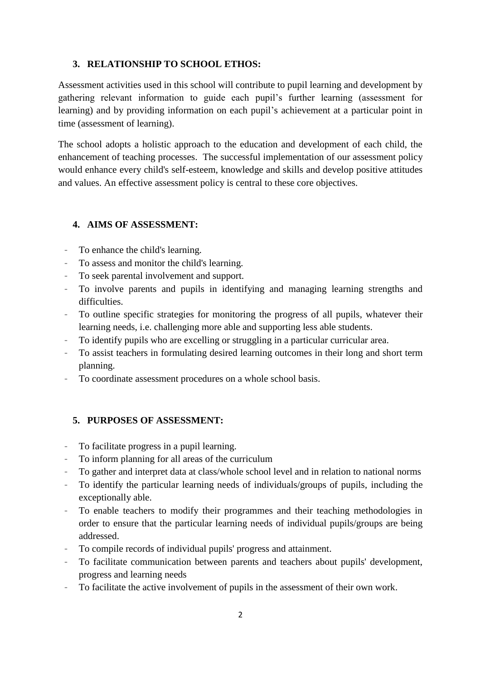#### **3. RELATIONSHIP TO SCHOOL ETHOS:**

Assessment activities used in this school will contribute to pupil learning and development by gathering relevant information to guide each pupil's further learning (assessment for learning) and by providing information on each pupil's achievement at a particular point in time (assessment of learning).

The school adopts a holistic approach to the education and development of each child, the enhancement of teaching processes. The successful implementation of our assessment policy would enhance every child's self-esteem, knowledge and skills and develop positive attitudes and values. An effective assessment policy is central to these core objectives.

#### **4. AIMS OF ASSESSMENT:**

- To enhance the child's learning.
- To assess and monitor the child's learning.
- To seek parental involvement and support.
- To involve parents and pupils in identifying and managing learning strengths and difficulties.
- To outline specific strategies for monitoring the progress of all pupils, whatever their learning needs, i.e. challenging more able and supporting less able students.
- To identify pupils who are excelling or struggling in a particular curricular area.
- To assist teachers in formulating desired learning outcomes in their long and short term planning.
- To coordinate assessment procedures on a whole school basis.

## **5. PURPOSES OF ASSESSMENT:**

- To facilitate progress in a pupil learning.
- To inform planning for all areas of the curriculum
- To gather and interpret data at class/whole school level and in relation to national norms
- To identify the particular learning needs of individuals/groups of pupils, including the exceptionally able.
- To enable teachers to modify their programmes and their teaching methodologies in order to ensure that the particular learning needs of individual pupils/groups are being addressed.
- To compile records of individual pupils' progress and attainment.
- To facilitate communication between parents and teachers about pupils' development, progress and learning needs
- To facilitate the active involvement of pupils in the assessment of their own work.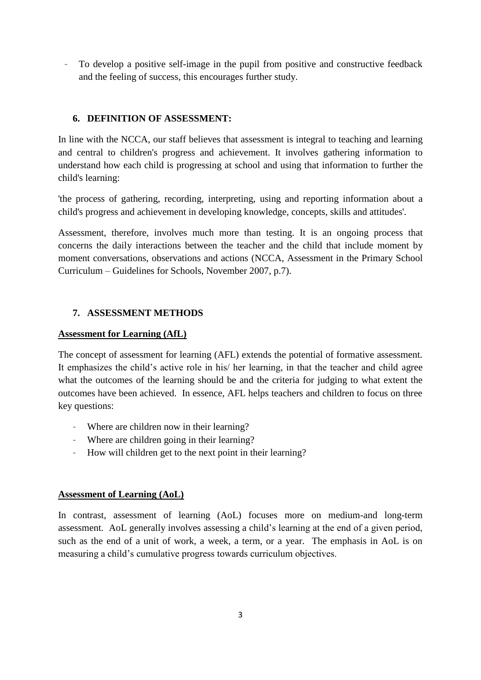- To develop a positive self-image in the pupil from positive and constructive feedback and the feeling of success, this encourages further study.

#### **6. DEFINITION OF ASSESSMENT:**

In line with the NCCA, our staff believes that assessment is integral to teaching and learning and central to children's progress and achievement. It involves gathering information to understand how each child is progressing at school and using that information to further the child's learning:

'the process of gathering, recording, interpreting, using and reporting information about a child's progress and achievement in developing knowledge, concepts, skills and attitudes'.

Assessment, therefore, involves much more than testing. It is an ongoing process that concerns the daily interactions between the teacher and the child that include moment by moment conversations, observations and actions (NCCA, Assessment in the Primary School Curriculum – Guidelines for Schools, November 2007, p.7).

## **7. ASSESSMENT METHODS**

#### **Assessment for Learning (AfL)**

The concept of assessment for learning (AFL) extends the potential of formative assessment. It emphasizes the child's active role in his/ her learning, in that the teacher and child agree what the outcomes of the learning should be and the criteria for judging to what extent the outcomes have been achieved. In essence, AFL helps teachers and children to focus on three key questions:

- Where are children now in their learning?
- Where are children going in their learning?
- How will children get to the next point in their learning?

#### **Assessment of Learning (AoL)**

In contrast, assessment of learning (AoL) focuses more on medium-and long-term assessment. AoL generally involves assessing a child's learning at the end of a given period, such as the end of a unit of work, a week, a term, or a year. The emphasis in AoL is on measuring a child's cumulative progress towards curriculum objectives.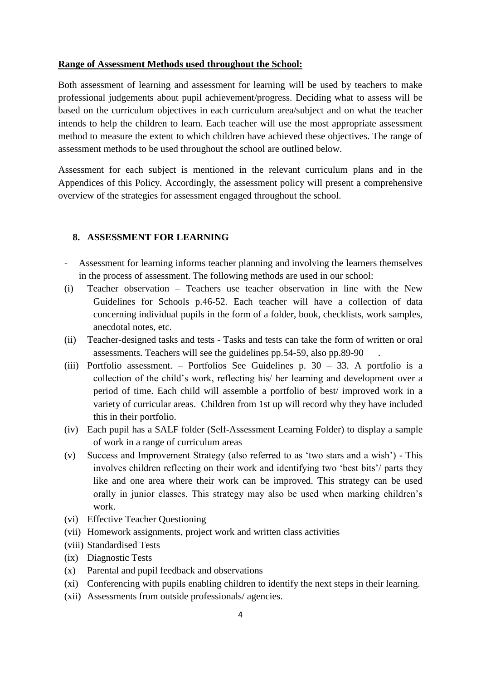#### **Range of Assessment Methods used throughout the School:**

Both assessment of learning and assessment for learning will be used by teachers to make professional judgements about pupil achievement/progress. Deciding what to assess will be based on the curriculum objectives in each curriculum area/subject and on what the teacher intends to help the children to learn. Each teacher will use the most appropriate assessment method to measure the extent to which children have achieved these objectives. The range of assessment methods to be used throughout the school are outlined below.

Assessment for each subject is mentioned in the relevant curriculum plans and in the Appendices of this Policy. Accordingly, the assessment policy will present a comprehensive overview of the strategies for assessment engaged throughout the school.

#### **8. ASSESSMENT FOR LEARNING**

- Assessment for learning informs teacher planning and involving the learners themselves in the process of assessment. The following methods are used in our school:
- (i) Teacher observation Teachers use teacher observation in line with the New Guidelines for Schools p.46-52. Each teacher will have a collection of data concerning individual pupils in the form of a folder, book, checklists, work samples, anecdotal notes, etc.
- (ii) Teacher-designed tasks and tests Tasks and tests can take the form of written or oral assessments. Teachers will see the guidelines pp.54-59, also pp.89-90 .
- (iii) Portfolio assessment. Portfolios See Guidelines p. 30 33. A portfolio is a collection of the child's work, reflecting his/ her learning and development over a period of time. Each child will assemble a portfolio of best/ improved work in a variety of curricular areas. Children from 1st up will record why they have included this in their portfolio.
- (iv) Each pupil has a SALF folder (Self-Assessment Learning Folder) to display a sample of work in a range of curriculum areas
- (v) Success and Improvement Strategy (also referred to as 'two stars and a wish') This involves children reflecting on their work and identifying two 'best bits'/ parts they like and one area where their work can be improved. This strategy can be used orally in junior classes. This strategy may also be used when marking children's work.
- (vi) Effective Teacher Questioning
- (vii) Homework assignments, project work and written class activities
- (viii) Standardised Tests
- (ix) Diagnostic Tests
- (x) Parental and pupil feedback and observations
- (xi) Conferencing with pupils enabling children to identify the next steps in their learning.
- (xii) Assessments from outside professionals/ agencies.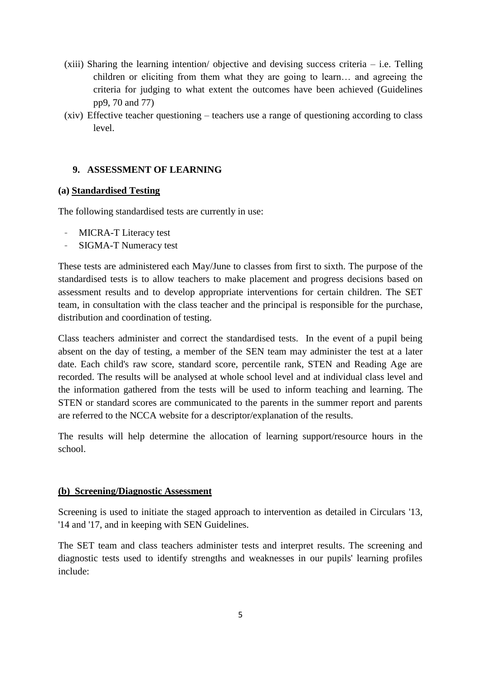- (xiii) Sharing the learning intention/ objective and devising success criteria i.e. Telling children or eliciting from them what they are going to learn… and agreeing the criteria for judging to what extent the outcomes have been achieved (Guidelines pp9, 70 and 77)
- (xiv) Effective teacher questioning teachers use a range of questioning according to class level.

#### **9. ASSESSMENT OF LEARNING**

#### **(a) Standardised Testing**

The following standardised tests are currently in use:

- MICRA-T Literacy test
- SIGMA-T Numeracy test

These tests are administered each May/June to classes from first to sixth. The purpose of the standardised tests is to allow teachers to make placement and progress decisions based on assessment results and to develop appropriate interventions for certain children. The SET team, in consultation with the class teacher and the principal is responsible for the purchase, distribution and coordination of testing.

Class teachers administer and correct the standardised tests. In the event of a pupil being absent on the day of testing, a member of the SEN team may administer the test at a later date. Each child's raw score, standard score, percentile rank, STEN and Reading Age are recorded. The results will be analysed at whole school level and at individual class level and the information gathered from the tests will be used to inform teaching and learning. The STEN or standard scores are communicated to the parents in the summer report and parents are referred to the NCCA website for a descriptor/explanation of the results.

The results will help determine the allocation of learning support/resource hours in the school.

#### **(b) Screening/Diagnostic Assessment**

Screening is used to initiate the staged approach to intervention as detailed in Circulars '13, '14 and '17, and in keeping with SEN Guidelines.

The SET team and class teachers administer tests and interpret results. The screening and diagnostic tests used to identify strengths and weaknesses in our pupils' learning profiles include: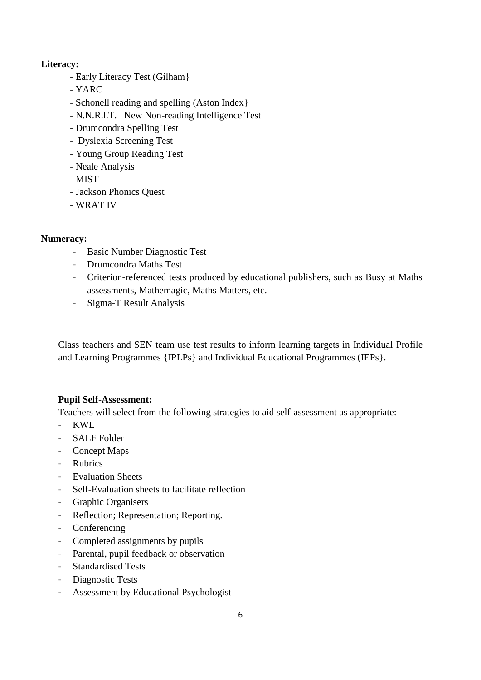# **Literacy:**

- Early Literacy Test (Gilham}
- YARC
- Schonell reading and spelling (Aston Index}
- N.N.R.l.T. New Non-reading Intelligence Test
- Drumcondra Spelling Test
- Dyslexia Screening Test
- Young Group Reading Test
- Neale Analysis
- MIST
- Jackson Phonics Quest
- WRAT IV

#### **Numeracy:**

- Basic Number Diagnostic Test
- Drumcondra Maths Test
- Criterion-referenced tests produced by educational publishers, such as Busy at Maths assessments, Mathemagic, Maths Matters, etc.
- Sigma-T Result Analysis

Class teachers and SEN team use test results to inform learning targets in Individual Profile and Learning Programmes {IPLPs} and Individual Educational Programmes (IEPs}.

#### **Pupil Self-Assessment:**

Teachers will select from the following strategies to aid self-assessment as appropriate:

- KWL
- SALF Folder
- Concept Maps
- Rubrics
- Evaluation Sheets
- Self-Evaluation sheets to facilitate reflection
- Graphic Organisers
- Reflection; Representation; Reporting.
- Conferencing
- Completed assignments by pupils
- Parental, pupil feedback or observation
- Standardised Tests
- Diagnostic Tests
- Assessment by Educational Psychologist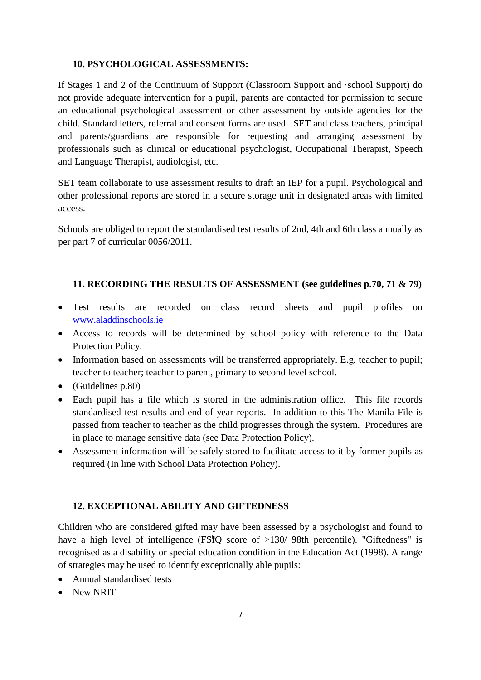#### **10. PSYCHOLOGICAL ASSESSMENTS:**

If Stages 1 and 2 of the Continuum of Support (Classroom Support and ·school Support) do not provide adequate intervention for a pupil, parents are contacted for permission to secure an educational psychological assessment or other assessment by outside agencies for the child. Standard letters, referral and consent forms are used. SET and class teachers, principal and parents/guardians are responsible for requesting and arranging assessment by professionals such as clinical or educational psychologist, Occupational Therapist, Speech and Language Therapist, audiologist, etc.

SET team collaborate to use assessment results to draft an IEP for a pupil. Psychological and other professional reports are stored in a secure storage unit in designated areas with limited access.

Schools are obliged to report the standardised test results of 2nd, 4th and 6th class annually as per part 7 of curricular 0056/2011.

#### **11. RECORDING THE RESULTS OF ASSESSMENT (see guidelines p.70, 71 & 79)**

- Test results are recorded on class record sheets and pupil profiles on [www.aladdinschools.ie](http://www.aladdinschools.ie/)
- Access to records will be determined by school policy with reference to the Data Protection Policy.
- Information based on assessments will be transferred appropriately. E.g. teacher to pupil; teacher to teacher; teacher to parent, primary to second level school.
- (Guidelines p.80)
- Each pupil has a file which is stored in the administration office. This file records standardised test results and end of year reports. In addition to this The Manila File is passed from teacher to teacher as the child progresses through the system. Procedures are in place to manage sensitive data (see Data Protection Policy).
- Assessment information will be safely stored to facilitate access to it by former pupils as required (In line with School Data Protection Policy).

#### **12. EXCEPTIONAL ABILITY AND GIFTEDNESS**

have a high level of intelligence (FSIQ score of >130/ 98th percentile). "Giftedness" is Children who are considered gifted may have been assessed by a psychologist and found to recognised as a disability or special education condition in the Education Act (1998). A range of strategies may be used to identify exceptionally able pupils:

- Annual standardised tests
- New NRIT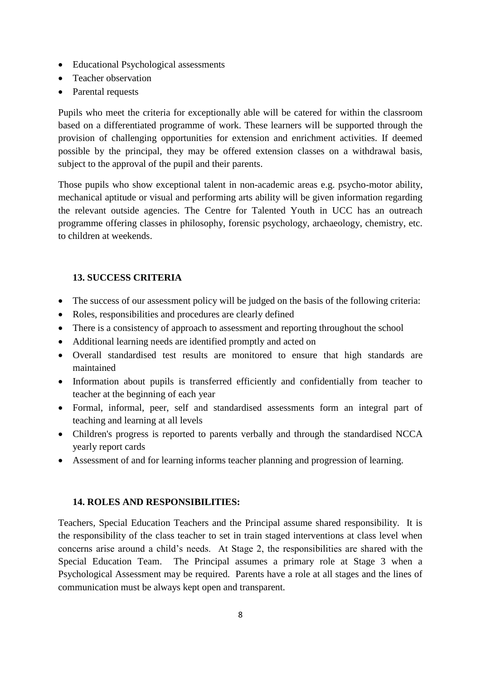- Educational Psychological assessments
- Teacher observation
- Parental requests

Pupils who meet the criteria for exceptionally able will be catered for within the classroom based on a differentiated programme of work. These learners will be supported through the provision of challenging opportunities for extension and enrichment activities. If deemed possible by the principal, they may be offered extension classes on a withdrawal basis, subject to the approval of the pupil and their parents.

Those pupils who show exceptional talent in non-academic areas e.g. psycho-motor ability, mechanical aptitude or visual and performing arts ability will be given information regarding the relevant outside agencies. The Centre for Talented Youth in UCC has an outreach programme offering classes in philosophy, forensic psychology, archaeology, chemistry, etc. to children at weekends.

# **13. SUCCESS CRITERIA**

- The success of our assessment policy will be judged on the basis of the following criteria:
- Roles, responsibilities and procedures are clearly defined
- There is a consistency of approach to assessment and reporting throughout the school
- Additional learning needs are identified promptly and acted on
- Overall standardised test results are monitored to ensure that high standards are maintained
- Information about pupils is transferred efficiently and confidentially from teacher to teacher at the beginning of each year
- Formal, informal, peer, self and standardised assessments form an integral part of teaching and learning at all levels
- Children's progress is reported to parents verbally and through the standardised NCCA yearly report cards
- Assessment of and for learning informs teacher planning and progression of learning.

#### **14. ROLES AND RESPONSIBILITIES:**

Teachers, Special Education Teachers and the Principal assume shared responsibility. It is the responsibility of the class teacher to set in train staged interventions at class level when concerns arise around a child's needs. At Stage 2, the responsibilities are shared with the Special Education Team. The Principal assumes a primary role at Stage 3 when a Psychological Assessment may be required. Parents have a role at all stages and the lines of communication must be always kept open and transparent.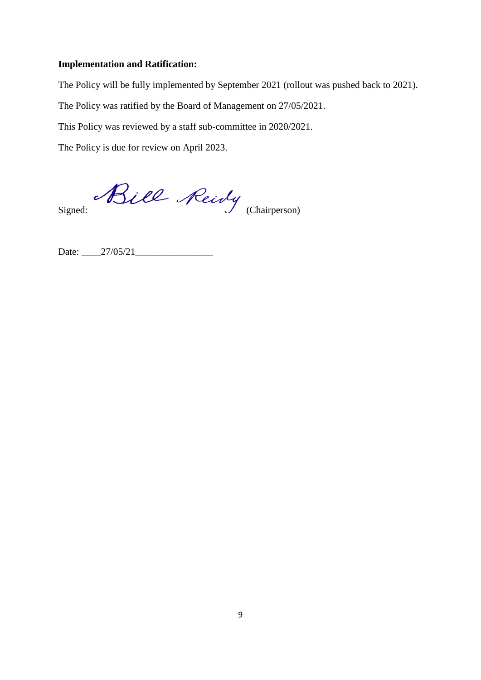#### **Implementation and Ratification:**

The Policy will be fully implemented by September 2021 (rollout was pushed back to 2021).

The Policy was ratified by the Board of Management on 27/05/2021.

This Policy was reviewed by a staff sub-committee in 2020/2021.

The Policy is due for review on April 2023.

Siell Reidy (Chairperson)

Date: 27/05/21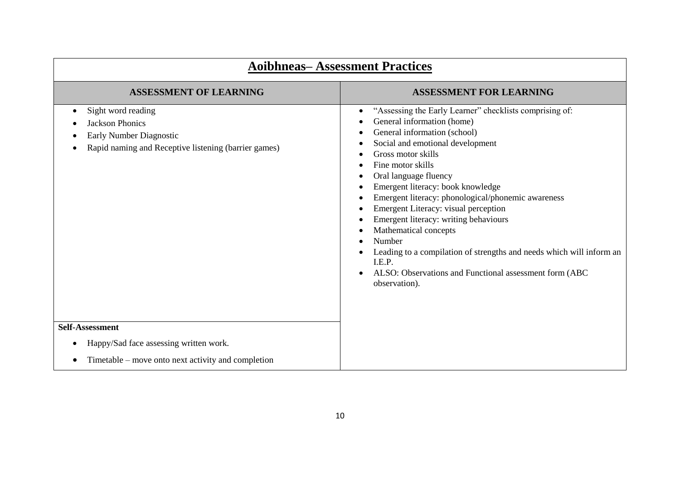| <b>Aoibhneas–Assessment Practices</b>                                                                                           |                                                                                                                                                                                                                                                                                                                                                                                                                                                                                                                                                                                                            |  |  |
|---------------------------------------------------------------------------------------------------------------------------------|------------------------------------------------------------------------------------------------------------------------------------------------------------------------------------------------------------------------------------------------------------------------------------------------------------------------------------------------------------------------------------------------------------------------------------------------------------------------------------------------------------------------------------------------------------------------------------------------------------|--|--|
| <b>ASSESSMENT OF LEARNING</b>                                                                                                   | <b>ASSESSMENT FOR LEARNING</b>                                                                                                                                                                                                                                                                                                                                                                                                                                                                                                                                                                             |  |  |
| Sight word reading<br><b>Jackson Phonics</b><br>Early Number Diagnostic<br>Rapid naming and Receptive listening (barrier games) | "Assessing the Early Learner" checklists comprising of:<br>General information (home)<br>General information (school)<br>Social and emotional development<br>Gross motor skills<br>Fine motor skills<br>Oral language fluency<br>Emergent literacy: book knowledge<br>Emergent literacy: phonological/phonemic awareness<br>Emergent Literacy: visual perception<br>Emergent literacy: writing behaviours<br>Mathematical concepts<br>Number<br>Leading to a compilation of strengths and needs which will inform an<br>I.E.P.<br>ALSO: Observations and Functional assessment form (ABC)<br>observation). |  |  |
| <b>Self-Assessment</b>                                                                                                          |                                                                                                                                                                                                                                                                                                                                                                                                                                                                                                                                                                                                            |  |  |
| Happy/Sad face assessing written work.                                                                                          |                                                                                                                                                                                                                                                                                                                                                                                                                                                                                                                                                                                                            |  |  |
| Timetable – move onto next activity and completion                                                                              |                                                                                                                                                                                                                                                                                                                                                                                                                                                                                                                                                                                                            |  |  |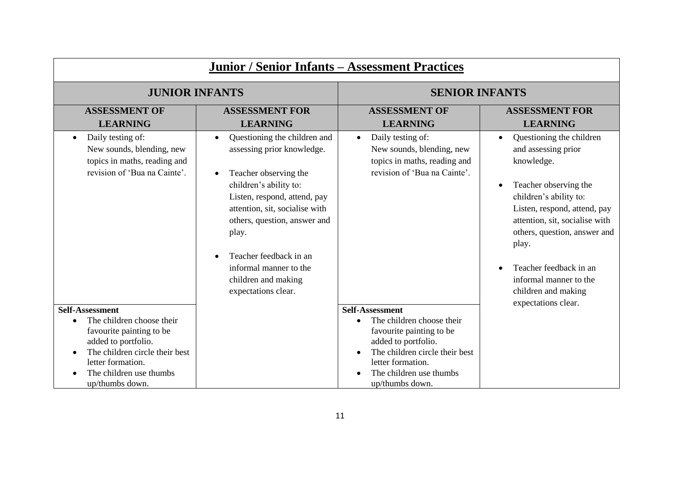| <b>Junior / Senior Infants - Assessment Practices</b>                                                                                                                                                                                                                                                                                                |                                                                                                                                                                                                       |                                                                                                                                                                                                                                                                                                                     |  |  |  |
|------------------------------------------------------------------------------------------------------------------------------------------------------------------------------------------------------------------------------------------------------------------------------------------------------------------------------------------------------|-------------------------------------------------------------------------------------------------------------------------------------------------------------------------------------------------------|---------------------------------------------------------------------------------------------------------------------------------------------------------------------------------------------------------------------------------------------------------------------------------------------------------------------|--|--|--|
| <b>JUNIOR INFANTS</b>                                                                                                                                                                                                                                                                                                                                |                                                                                                                                                                                                       | <b>SENIOR INFANTS</b>                                                                                                                                                                                                                                                                                               |  |  |  |
| <b>ASSESSMENT FOR</b><br><b>LEARNING</b>                                                                                                                                                                                                                                                                                                             | <b>ASSESSMENT OF</b><br><b>LEARNING</b>                                                                                                                                                               | <b>ASSESSMENT FOR</b><br><b>LEARNING</b>                                                                                                                                                                                                                                                                            |  |  |  |
| Questioning the children and<br>$\bullet$<br>assessing prior knowledge.<br>Teacher observing the<br>$\bullet$<br>children's ability to:<br>Listen, respond, attend, pay<br>attention, sit, socialise with<br>others, question, answer and<br>play.<br>Teacher feedback in an<br>informal manner to the<br>children and making<br>expectations clear. | Daily testing of:<br>$\bullet$<br>New sounds, blending, new<br>topics in maths, reading and<br>revision of 'Bua na Cainte'.                                                                           | Questioning the children<br>$\bullet$<br>and assessing prior<br>knowledge.<br>Teacher observing the<br>children's ability to:<br>Listen, respond, attend, pay<br>attention, sit, socialise with<br>others, question, answer and<br>play.<br>Teacher feedback in an<br>informal manner to the<br>children and making |  |  |  |
|                                                                                                                                                                                                                                                                                                                                                      | <b>Self-Assessment</b><br>The children choose their<br>$\bullet$<br>favourite painting to be<br>added to portfolio.<br>The children circle their best<br>letter formation.<br>The children use thumbs | expectations clear.                                                                                                                                                                                                                                                                                                 |  |  |  |
|                                                                                                                                                                                                                                                                                                                                                      |                                                                                                                                                                                                       | up/thumbs down.                                                                                                                                                                                                                                                                                                     |  |  |  |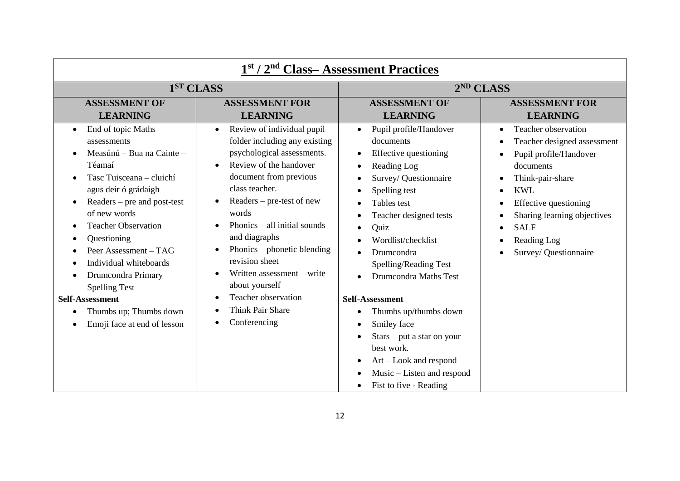| 1 <sup>st</sup> / 2 <sup>nd</sup> Class-Assessment Practices                                                                                                                                                                                                                                                                                                                                                                     |                                                                                                                                                                                                                                                                                                                                                                                                                                                                           |                                                                                                                                                                                                                                                                                                                                                                                                                                                                                    |                                                                                                                                                                                                                                                                                                                          |
|----------------------------------------------------------------------------------------------------------------------------------------------------------------------------------------------------------------------------------------------------------------------------------------------------------------------------------------------------------------------------------------------------------------------------------|---------------------------------------------------------------------------------------------------------------------------------------------------------------------------------------------------------------------------------------------------------------------------------------------------------------------------------------------------------------------------------------------------------------------------------------------------------------------------|------------------------------------------------------------------------------------------------------------------------------------------------------------------------------------------------------------------------------------------------------------------------------------------------------------------------------------------------------------------------------------------------------------------------------------------------------------------------------------|--------------------------------------------------------------------------------------------------------------------------------------------------------------------------------------------------------------------------------------------------------------------------------------------------------------------------|
| 1 <sup>ST</sup> CLASS                                                                                                                                                                                                                                                                                                                                                                                                            |                                                                                                                                                                                                                                                                                                                                                                                                                                                                           | 2 <sup>ND</sup> CLASS                                                                                                                                                                                                                                                                                                                                                                                                                                                              |                                                                                                                                                                                                                                                                                                                          |
| <b>ASSESSMENT OF</b><br><b>LEARNING</b>                                                                                                                                                                                                                                                                                                                                                                                          | <b>ASSESSMENT FOR</b><br><b>LEARNING</b>                                                                                                                                                                                                                                                                                                                                                                                                                                  | <b>ASSESSMENT OF</b><br><b>LEARNING</b>                                                                                                                                                                                                                                                                                                                                                                                                                                            | <b>ASSESSMENT FOR</b><br><b>LEARNING</b>                                                                                                                                                                                                                                                                                 |
| End of topic Maths<br>$\bullet$<br>assessments<br>Measúnú – Bua na Cainte –<br>Téamaí<br>Tasc Tuisceana - cluichí<br>agus deir ó grádaigh<br>$Readers - pre$ and post-test<br>of new words<br><b>Teacher Observation</b><br>Questioning<br>Peer Assessment - TAG<br>Individual whiteboards<br>Drumcondra Primary<br><b>Spelling Test</b><br><b>Self-Assessment</b><br>Thumbs up; Thumbs down<br>٠<br>Emoji face at end of lesson | Review of individual pupil<br>$\bullet$<br>folder including any existing<br>psychological assessments.<br>Review of the handover<br>$\bullet$<br>document from previous<br>class teacher.<br>Readers – pre-test of new<br>words<br>Phonics $-$ all initial sounds<br>and diagraphs<br>Phonics $-$ phonetic blending<br>$\bullet$<br>revision sheet<br>Written assessment – write<br>about yourself<br>Teacher observation<br><b>Think Pair Share</b><br>Conferencing<br>٠ | Pupil profile/Handover<br>$\bullet$<br>documents<br>Effective questioning<br>Reading Log<br>Survey/ Questionnaire<br>Spelling test<br>Tables test<br>Teacher designed tests<br>Quiz<br>Wordlist/checklist<br>Drumcondra<br>Spelling/Reading Test<br><b>Drumcondra Maths Test</b><br><b>Self-Assessment</b><br>Thumbs up/thumbs down<br>Smiley face<br>$Stars - put a star on your$<br>best work.<br>Art – Look and respond<br>Music – Listen and respond<br>Fist to five - Reading | Teacher observation<br>$\bullet$<br>Teacher designed assessment<br>$\bullet$<br>Pupil profile/Handover<br>$\bullet$<br>documents<br>Think-pair-share<br><b>KWL</b><br>$\bullet$<br>Effective questioning<br>Sharing learning objectives<br><b>SALF</b><br>$\bullet$<br>Reading Log<br>$\bullet$<br>Survey/ Questionnaire |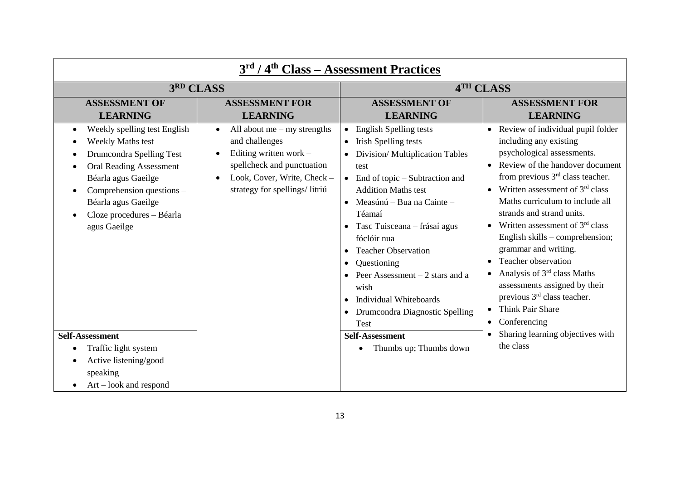| 3RD CLASS                                                                                                                              |                                                                                                         | 4TH CLASS                                                                                                                                                                                                                                                    |                                                                                                                                                                                                                                                                                               |
|----------------------------------------------------------------------------------------------------------------------------------------|---------------------------------------------------------------------------------------------------------|--------------------------------------------------------------------------------------------------------------------------------------------------------------------------------------------------------------------------------------------------------------|-----------------------------------------------------------------------------------------------------------------------------------------------------------------------------------------------------------------------------------------------------------------------------------------------|
| <b>ASSESSMENT OF</b>                                                                                                                   | <b>ASSESSMENT FOR</b>                                                                                   | <b>ASSESSMENT OF</b>                                                                                                                                                                                                                                         | <b>ASSESSMENT FOR</b>                                                                                                                                                                                                                                                                         |
| <b>LEARNING</b>                                                                                                                        | <b>LEARNING</b>                                                                                         | <b>LEARNING</b>                                                                                                                                                                                                                                              | <b>LEARNING</b>                                                                                                                                                                                                                                                                               |
| Weekly spelling test English                                                                                                           | All about me $-$ my strengths<br>$\bullet$                                                              | <b>English Spelling tests</b><br>$\bullet$                                                                                                                                                                                                                   | • Review of individual pupil folder                                                                                                                                                                                                                                                           |
| Weekly Maths test                                                                                                                      | and challenges                                                                                          | • Irish Spelling tests                                                                                                                                                                                                                                       | including any existing                                                                                                                                                                                                                                                                        |
| <b>Drumcondra Spelling Test</b>                                                                                                        | Editing written work $-$<br>$\bullet$                                                                   | Division/Multiplication Tables                                                                                                                                                                                                                               | psychological assessments.                                                                                                                                                                                                                                                                    |
| <b>Oral Reading Assessment</b><br>Béarla agus Gaeilge<br>Comprehension questions -<br>Béarla agus Gaeilge<br>Cloze procedures - Béarla | spellcheck and punctuation<br>Look, Cover, Write, Check -<br>$\bullet$<br>strategy for spellings/litriú | test<br>$\bullet$ End of topic – Subtraction and<br><b>Addition Maths test</b><br>$\bullet$ Measúnú – Bua na Cainte –<br>Téamaí                                                                                                                              | Review of the handover document<br>from previous 3 <sup>rd</sup> class teacher.<br>• Written assessment of $3rd$ class<br>Maths curriculum to include all<br>strands and strand units.                                                                                                        |
| agus Gaeilge                                                                                                                           |                                                                                                         | Tasc Tuisceana – frásaí agus<br>$\bullet$<br>fóclóir nua<br><b>Teacher Observation</b><br>Questioning<br>$\bullet$<br>Peer Assessment $-2$ stars and a<br>$\bullet$<br>wish<br>Individual Whiteboards<br>Drumcondra Diagnostic Spelling<br>$\bullet$<br>Test | • Written assessment of $3rd$ class<br>English skills – comprehension;<br>grammar and writing.<br>Teacher observation<br>Analysis of 3 <sup>rd</sup> class Maths<br>$\bullet$<br>assessments assigned by their<br>previous 3 <sup>rd</sup> class teacher.<br>Think Pair Share<br>Conferencing |
| <b>Self-Assessment</b>                                                                                                                 |                                                                                                         | <b>Self-Assessment</b>                                                                                                                                                                                                                                       | Sharing learning objectives with                                                                                                                                                                                                                                                              |
| Traffic light system<br>Active listening/good<br>speaking<br>Art – look and respond                                                    |                                                                                                         | Thumbs up; Thumbs down                                                                                                                                                                                                                                       | the class                                                                                                                                                                                                                                                                                     |